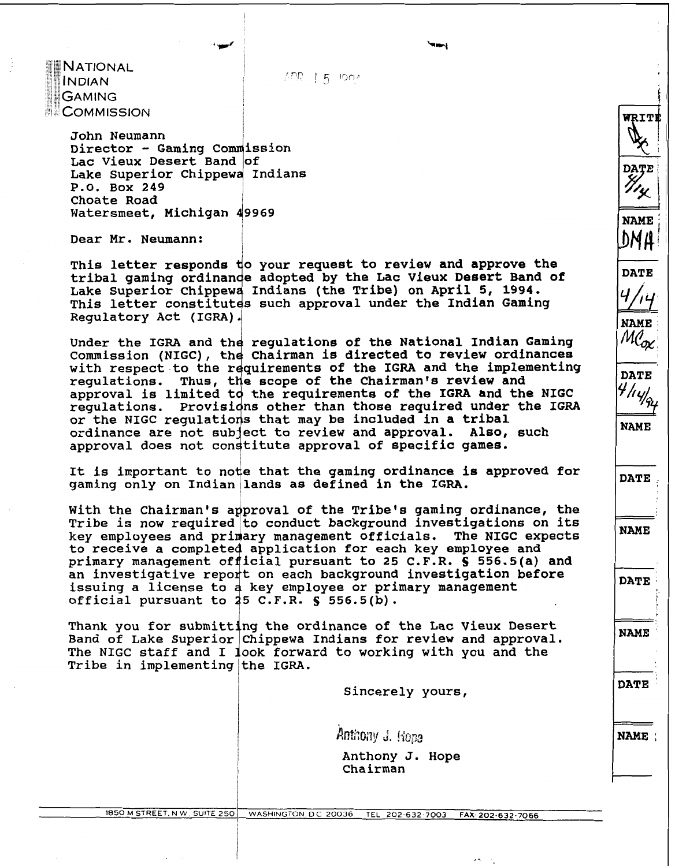**NATIONAL** INDIAN **GAMING ECOMMISSION** 

 $APR = 1.5$  100  $\prime$ 

<sup>I</sup>**John Neumann Director** - **Gaming**  Lac Vieux Desert Band of Lake Superior Chippewa Indians **P.O. Box 249 Choate Road** <sup>I</sup> **Watersmeet, Michigan 49969** 

**Dear Mr. Neumann:** 

This letter responds to your request to review and approve the tribal gaming ordinande adopted by the Lac Vieux Desert Band of Lake Superior Chippewa Indians (the Tribe) on April 5, 1994. This letter constitutes such approval under the Indian Gaming **Regulatory Act (IGRA).** 

Under the IGRA and the regulations of the National Indian Gaming Commission (NIGC), the Chairman is directed to review ordinances with respect to the requirements of the IGRA and the implementing regulations. Thus, the scope of the Chairman's review and approval is limited to the requirements of the IGRA and the NIGC Provisions other than those required under the IGRA requlations. or the NIGC requlations that may be included in a tribal ordinance are not subject to review and approval. Also, such approval does not constitute approval of specific games.

**It is important to node that the gaming ordinance is approved for**  gaming only on Indian lands as defined in the IGRA.

With the Chairman's approval of the Tribe's gaming ordinance, the **Tribe is now required to conduct background investigations on its key employees and pri ary management officials. The NIGC expects**  to receive a completed application for each key employee and **primary management of icial pursuant to 25 C.F.R. S 556.5(a) and**  an investigative report on each background investigation before issuing a license to a key employee or primary management **official pursuant to 25 C.F.R. § 556.5(b).** 

Thank you for submitting the ordinance of the Lac Vieux Desert **Band of Lake Superior Chippewa Indians for review and approval.**  The NIGC staff and I look forward to working with you and the Tribe in implementing the IGRA.

**Sincerely yours,** 

Anthony J. Hope

**Anthony J. Hope Chairman** 

**NAME** :

**DATE** 

**WRIT** 

*H*/*i*y<sub>n/</sub><br>
NAME<br>
DATE

**NAME** 

**DATE** 

**NAME** 

**NAME** 

I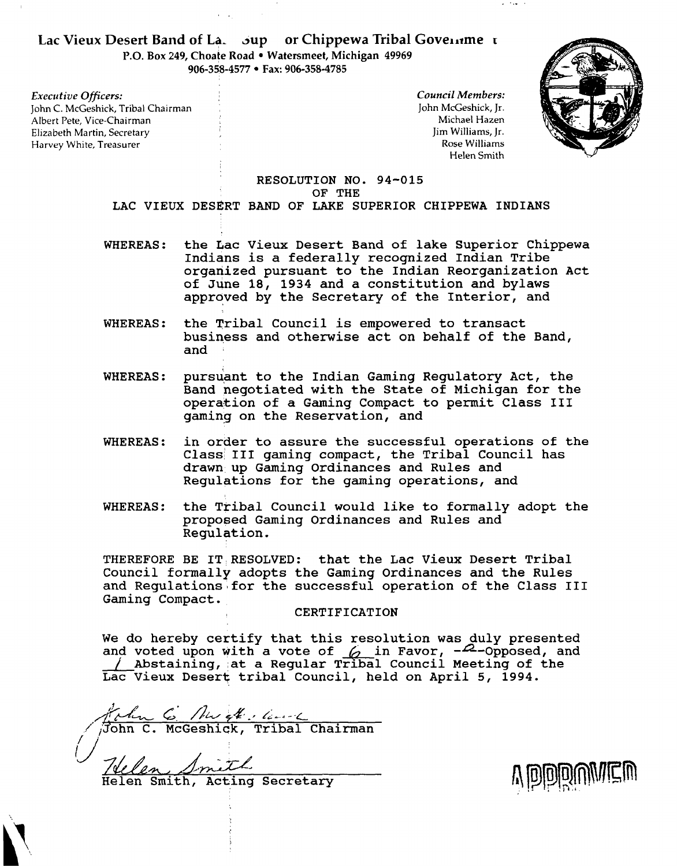## Lac Vieux Desert Band of La. sup or Chippewa Tribal Governme t

**P.O. Box 249, Choate Road Watersmeet, Michigan 49969**  906-358-4577 • Fax: 906-358-4785

*Executive Oficers:*  John C. McGeshick, Tribal Chairman Albert Pete, Vice-Chairman Elizabeth Martin, Secretary <sup>I</sup> Harvey White, Treasurer

*Council Members:*  John McGeshick, Jr. Michael Hazen Jim Williams, Jr. Rose Williams Helen Smith

 $\omega = 2$  ,  $\omega = 1$ 



#### RESOLUTION NO. **94-015**  OF THE

LAC VIEUX DESERT BAND OF LAKE SUPERIOR CHIPPEWA INDIANS

- WHEREAS: the Lac Vieux Desert Band of lake Superior Chippewa Indians is a federally recognized Indian Tribe organized pursuant to the Indian Reorganization Act of June 18, **1934** and a constitution and bylaws approved by the Secretary of the Interior, and
- WHEREAS: the Tribal Council is empowered to transact business and otherwise act on behalf of the Band, and .
- WHEREAS: pursuant to the Indian Gaming Regulatory Act, the Band negotiated with the State of Michigan for the operakion of a Gaming Compact to permit Class **I11**  gaming on the Reservation, and
- WHEREAS: in order to assure the successful operations of the Class III gaming compact, the Tribal Council has drawn up Gaming Ordinances and Rules and Regulations for the gaming operations, and
- WHEREAS: the Tribal Council would like to formally adopt the proposed Gaming Ordinances and Rules and Regulation.

THEREFORE BE 1T:RESOLVED: that the Lac Vieux Desert Tribal Council formally adopts the Gaming Ordinances and the Rules and Requlations for the successful operation of the Class III Gaming Compact.

#### CERTIFICATION

We do hereby certify that this resolution was duly presented<br>and voted upon with a vote of  $\frac{6}{10}$  in Favor,  $-2$ -Opposed, and<br> $\frac{1}{2}$ Abstaining, at a Regular Tribal Council Meeting of the Lac Vieux Deserq tribal Council, held on April 5, **1994.** 

\$/di5,- *c;* /]'+.&., **[;&.<--c**   $\sqrt{\beta}$ ohn C. McGeshick, Tribal Chairman Welen Smith, Becretary

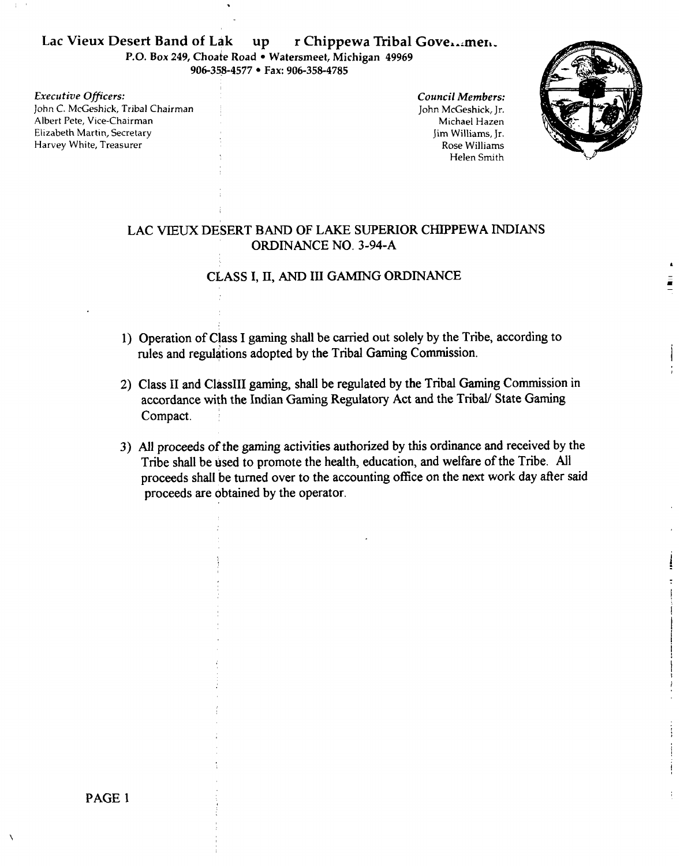# Lac Vieux Desert Band of Lak up r Chippewa Tribal Gove...men.

**P.O. Box 249, Choate Road • Watersmeet, Michigan 49969** 906-358-4577 • Fax: 906-358-4785

*Executive Oficers:*  John C. McGeshick, Tribal Chairman Albert Pete, Vice-Chairman Elizabeth Martin, Secretary Harvey White, Treasurer

*Council Members:*  John McGeshick, Jr. Michael Hazen Jim Williams, Jr. Rose Williams Helen Smith



## LAC VEUX DESERT BAND OF LAKE SUPERIOR CHIPPEWA INDIANS ORDINANCE NO. 3-94-A

## CLASS I, **11,** AND III GAMING ORDINANCE

- 1) Operation of Class I gaming shall be carried out solely by the Tribe, according to rules and regulations adopted by the Tribal Gaming Commission.
- 2) Class II and ClassIII gaming, shall be regulated by the Tribal Gaming Commission in accordance with the Indian Gaming Regulatory Act and the Tribal/ State Gaming Compact.
- 3) All proceeds of the gaming activities authorized by this ordinance and received by the Tribe shall be used to promote the health, education, and welfare of the Tribe. All proceeds shall be turned over to the accounting office on the next work day after said proceeds are obtained by the operator.

PAGE 1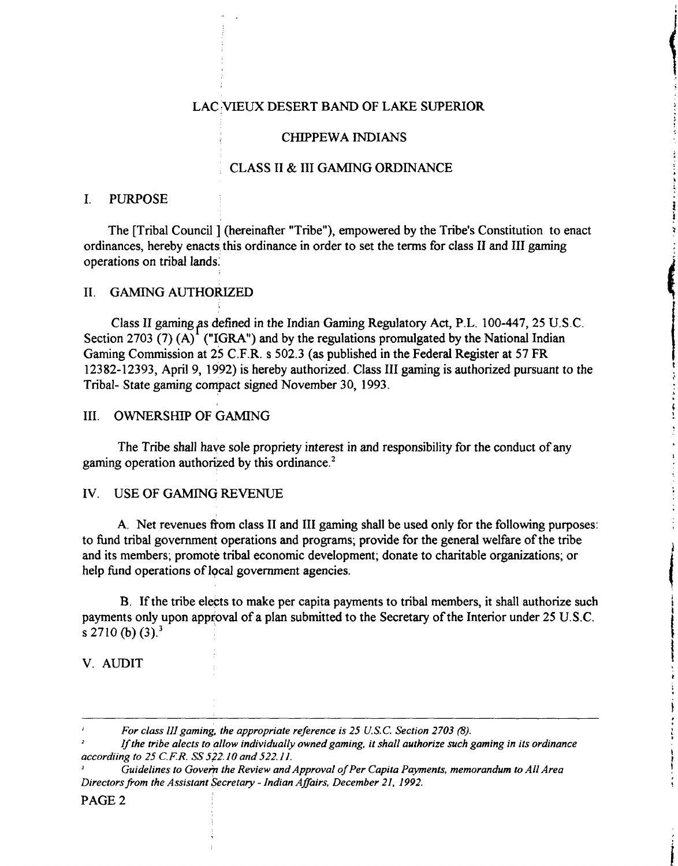## LAC VIEUX DESERT BAND OF LAKE SUPERIOR

#### CHIPPEWA INDIANS

## CLASS I1 & I11 GAMING ORDINANCE

### I. PURPOSE

The [Tribal Council ] (hereinafter "Tribe"), empowered by the Tribe's Constitution to enact ordinances, hereby enacts this ordinance in order to set the terms for class II and III gaming operations on tribal lands:

### 11. GAMING AUTHORIZED

Class II gaming as defined in the Indian Gaming Regulatory Act, P.L. 100-447, 25 U.S.C. Section 2703 (7) (A)<sup> $'$ </sup> ("IGRA") and by the regulations promulgated by the National Indian Gaming Commission at 25 C.F.R. s 502.3 (as published in the Federal Register at 57 FR 12382- 12393, April 9, 1992) is hereby authorized. Class I11 gaming is authorized pursuant to the Tribal- State gaming compact signed November 30, 1993.

## 111. OWNERSHIP OF GAMING

The Tribe shall have sole propriety interest in and responsibility for the conduct of any gaming operation authorized by this ordinance. $2$ 

#### IV. USE OF GAMING REVENUE

A. Net revenues fiom class I1 and I11 gaming shall be used only for the following purposes: to hnd tribal government operations and programs; provide for the general welfare of the tribe and its members; promote tribal economic development; donate to charitable organizations; or help fund operations of local government agencies.

B. If the tribe elects to make per capita payments to tribal members, it shall authorize such payments only upon approval of a plan submitted to the Secretary of the Interior under 25 U.S.C. s 2710 (b) **(3).3** 

## V. AUDIT

#### PAGE 2

**I** *For class 111 gaming, the appropriate refirence is 25 U.S.C. Section 2703* (8).

**<sup>2</sup>***Ifthe tribe alects to allow individually owned gaming, it shall authorize such gaming in its ordinance accordiing to 25* **C.** *F.* **R.** *SS 522.10 and 522.1 1.* 

Guidelines to Govern the Review and Approval of Per Capita Payments, memorandum to All Area *Directors from the Assistant Secretary - Indian Affairs, December 21, 1992.*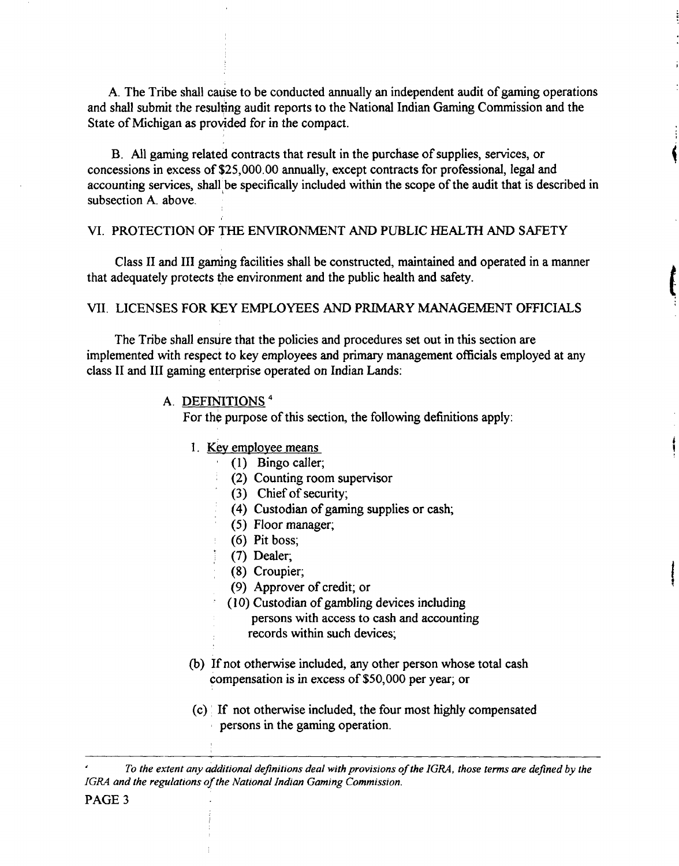A. The Tribe shall cause to be conducted annually an independent audit of gaming operations and shall submit the resulting audit reports to the National Indian Gaming Commission and the State of Michigan as provided for in the compact.

B. All gaming related contracts that result in the purchase of supplies, services, or concessions in excess of \$25,000.00 annually, except contracts for professional, legal and accounting services, shall be specifically included within the scope of the audit that is described in subsection A. above.

## VI. PROTECTION OF THE ENVIRONMENT AND PUBLIC HEALTH **AND** SAFETY

Class I1 and I11 gaming facilities shall be constructed, maintained and operated in a manner that adequately protects the environment and the public health and safety.

## VII. LICENSES FOR KEY EMPLOYEES AND **PRIMARY** MANAGEMENT OFFICIALS

The Tribe shall ensure that the policies and procedures set out in this section are implemented with respect to key employees and primary management officials employed at any class I1 and 111 gaming enterprise operated on Indian Lands:

## **A.** DEFINITIONS

For the purpose of this section, the following definitions apply:

- 1. Kev emolovee means
	- **(1)** Bingo caller;
		- (2) Counting room supervisor
		- (3) Chief of security;
		- (4) Custodian of gaming supplies or cash;
		- (5) Floor manager;
	- (6) Pit boss;
	- (7) Dealer;
	- (8) Croupier;
	- (9) Approver of credit; or
	- (10) Custodian of gambling devices including
		- persons with access to cash and accounting
		- records within such devices;
- (b) If not otherwise included, any other person whose total cash compensation is in excess of \$50,000 per year; or
- (c) If not otherwise included, the four most highly compensated persons in the gaming operation.

*To the extent any additional definitions deal with provisions of the IGRA, those terms are defned by the IGRA and the regulations of the National Indian Gaming Commission.*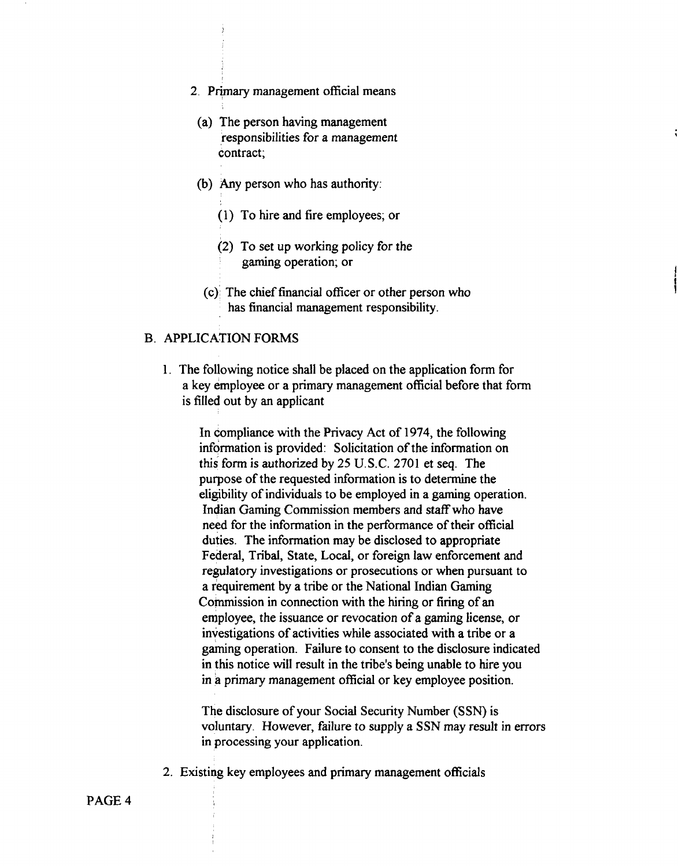- 2. Primary management official means
	- (a) The person having management responsibilities for a management contract;
	- (b) Any person who has authority:
		- (1) To hire and fire employees; or
		- (2) To set up working policy for the gaming operation; or
	- (c)' The chief financial officer or other person who has financial management responsibility.

#### B. APPLICATION FORMS

1. The following notice shall be placed on the application form for a key employee or a primary management official before that form is filled out by an applicant

In compliance with the Privacy Act of 1974, the following infdrmation is provided: Solicitation of the information on this form is authorized by 25 U.S.C. 2701 et seq. The purpose of the requested information is to determine the eligibility of individuals to be employed in a gaming operation. 1ndian Gaming Commission members and staff who have need for the information in the performance of their official duties. The information may be disclosed to appropriate Federal, Tribal, State, Local, or foreign law enforcement and regulatory investigations or prosecutions or when pursuant to a requirement by a tribe or the National Indian Gaming Commission in connection with the hiring or firing of an employee, the issuance or revocation of a gaming license, or investigations of activities while associated with a tribe or a gaming operation. Failure to consent to the disclosure indicated in this notice will result in the tribe's being unable to hire you in a primary management official or key employee position.

The disclosure of your Social Security Number (SSN) is voluntary. However, failure to supply a SSN may result in errors in processing your application.

2. Existing key employees and primary management officials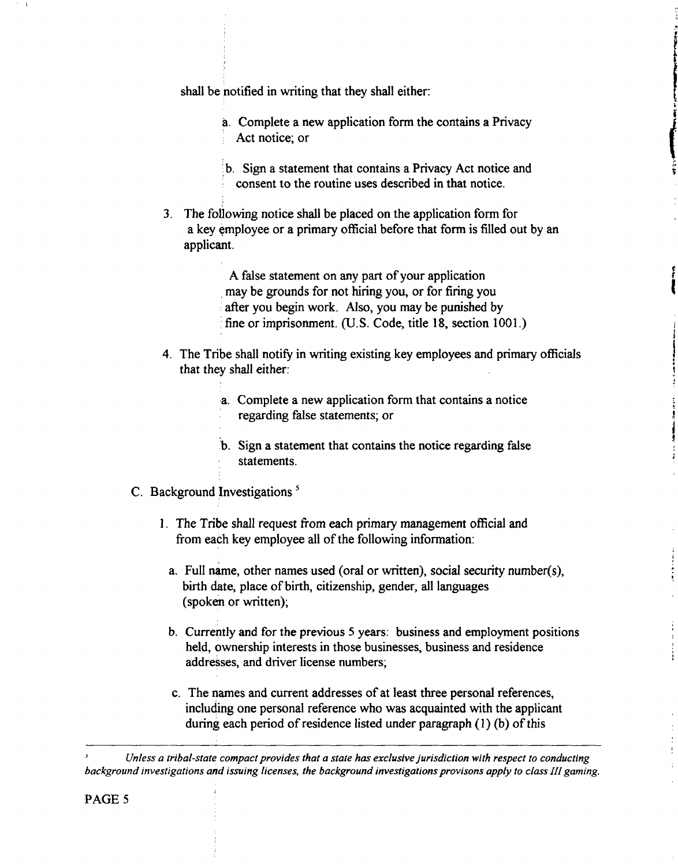shall be notified in writing that they shall either:

- a. Complete a new application form the contains a Privacy Act notice; or
- b. Sign a statement that contains a Privacy Act notice and consent to the routine uses described in that notice.
- 3. The foliowing notice shall be placed on the application form for a key employee or a primary official before that form is filled out by an applicant.

A false statement on any part of your application may be grounds for not hiring you, or for firing you after you begin work. Also, you may be punished by fine or imprisonment. (U.S. Code, title 18, section 1001.)

4. The Tribe shall notify in writing existing key employees and primary officials that they shall either:

> .a. Complete a new application form that contains a notice regarding false statements; or

- b. Sign a statement that contains the notice regarding false statements.
- C. Background Investigations<sup>5</sup>

I

- 1. The Tribe shall request fiom each primary management official and from each key employee all of the following information:
	- a. Full name, other names used (oral or written), social security number(s), birth date, place of birth, citizenship, gender, all languages (spoken or written);

 $\frac{1}{2}$ 

Ì

- b. currently and for the previous 5 years: business and employment positions held, ownership interests in those businesses, business and residence addresses, and driver license numbers;
- c. The names and current addresses of at least three personal references, including one personal reference who was acquainted with the applicant during each period of residence listed under paragraph **(I)** (b) of this

**<sup>J</sup>***Unless a tribal-state compact provides that a state has exclusive jurisdiction with respect to conducting background investigations and issuing licenses, the background investigations provisons apply to class III gaming.*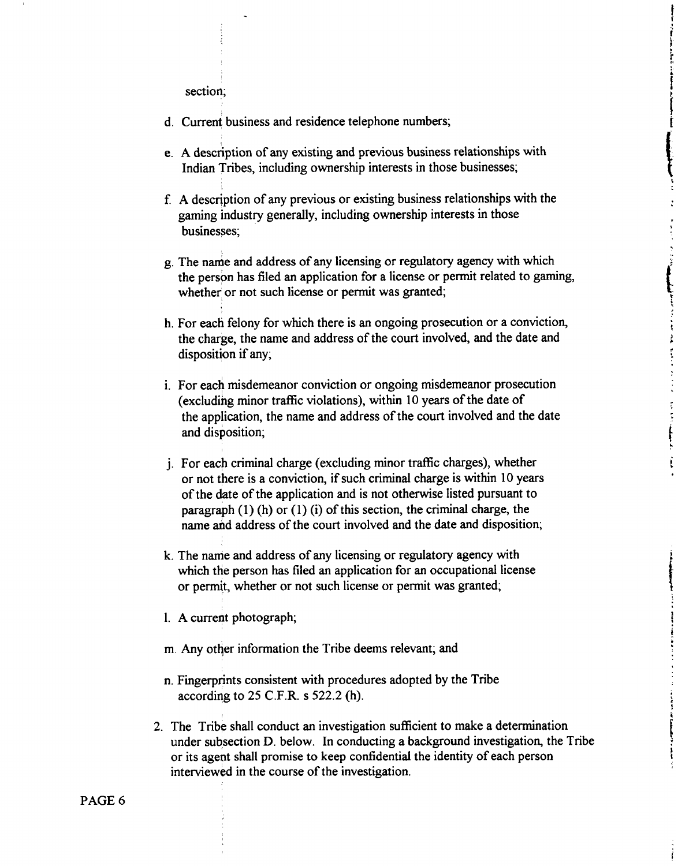section;

- d. Current business and residence telephone numbers;
- e. A description of any existing and previous business relationships with Indian Tribes, including ownership interests in those businesses;

Í

ŀ

 $\mathcal{L}$ 

ł

Ť.

ļ

- f. A description of any previous or existing business relationships with the gaming industry generally, including ownership interests in those businesses;
- g. The name and address of any licensing or regulatory agency with which the person has filed an application for a license or permit related to gaming, whether or not such license or permit was granted;
- h. For each felony for which there is an ongoing prosecution or a conviction, the charge, the name and address of the court involved, and the date and disposition if any;
- i. For each misdemeanor conviction or ongoing misdemeanor prosecution (excluding minor traffic violations), within 10 years of the date of the application, the name and address of the court involved and the date and disposition;
- j. For each criminal charge (excluding minor traffic charges), whether or not there is a conviction, if such criminal charge is within 10 years of the date of the application and is not otherwise listed pursuant to paragraph  $(1)$  (h) or  $(1)$  (i) of this section, the criminal charge, the name ahd address of the court involved and the date and disposition;
- k. The name and address of any licensing or regulatory agency with which the person has filed an application for an occupational license or permit, whether or not such license or permit was granted;
- 1. A current photograph;
- m. Any other information the Tribe deems relevant; and
- n. Fingerprints consistent with procedures adopted by the Tribe according to **25** C.F.R. s **522.2** (h).
- **2.** The Tribe shall conduct an investigation sufficient to make a determination under subsection D. below. In conducting a background investigation, the Tribe or its agent shall promise to keep confidential the identity of each person interviewd in the course of the investigation.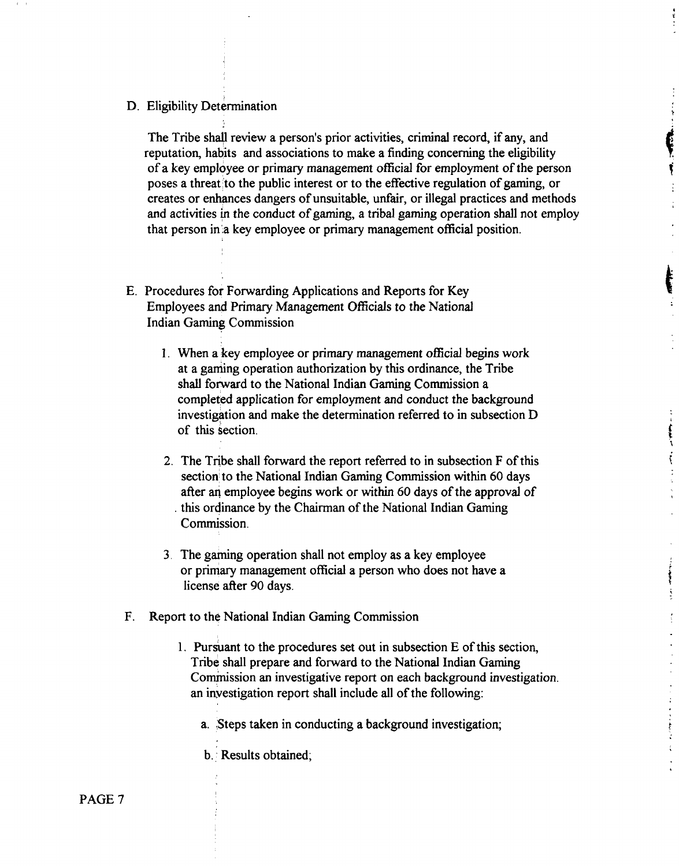D. Eligibility Determination

The Tribe shall review a person's prior activities, criminal record, if any, and reputation, habits and associations to make a finding concerning the eligibility of a key employee or primary management official for employment of the person poses a threat to the public interest or to the effective regulation of gaming, or creates or enhances dangers of unsuitable, unfair, or illegal practices and methods and activities in the conduct of gaming, a tribal gaming operation shall not employ that person in:a key employee or primary management official position.

ţ

ţ  $\frac{1}{2}$ 

 $\begin{array}{c}\n\vdots \\
\downarrow \\
\downarrow \\
\downarrow \\
\downarrow\n\end{array}$ 

**The Contents of the Second Seconds** ŧ

- E. Procedures for Forwarding Applications and Reports for Key Employees and Primary Management Officials to the National Indian Gaming Commission
	- 1. When a key employee or primary management official begins work at a gaming operation authorization by this ordinance, the Tribe shall forward to the National Indian Gaming Commission a completed application for employment and conduct the background investigation and make the determination referred to in subsection D of this section.
	- 2. The Tribe shall forward the report referred to in subsection F of this section to the National Indian Gaming Commission within 60 days after an employee begins work or within 60 days of the approval of . this ordinance by the Chairman of the National Indian Gaming Commission.
	- 3. The gaming operation shall not employ as a key employee or primary management official a person who does not have a license after 90 days.
- **F.** Report to the National Indian Gaming Commission
	- 1. Pursuant to the procedures set out in subsection E of this section, Tribe shall prepare and forward to the National Indian Gaming Commission an investigative report on each background investigation. an investigation report shall include all of the following:
		- a. Steps taken in conducting a background investigation;
		- b. : Results obtained;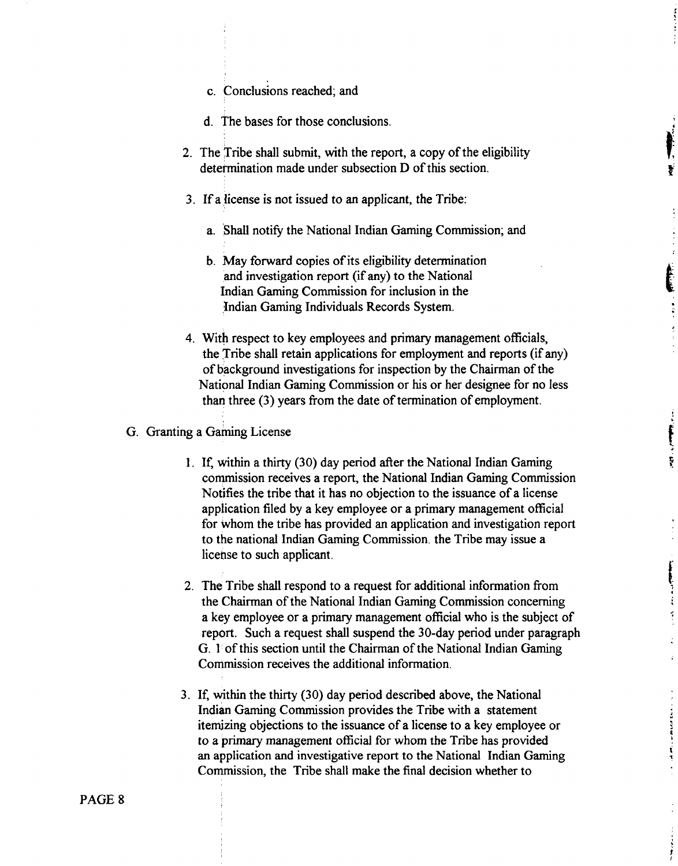- c. Conclusions reached; and
- d. The bases for those conclusions.
- **2.** The Tribe shall submit, with the report, a copy of the eligibility determination made under subsection D of this section.
- 3. If a jicense is not issued to an applicant, the Tribe:
	- a. Shall notify the National Indian Gaming Commission; and
	- b. May forward copies of its eligibility determination and investigation report (if any) to the National Indian Gaming Commission for inclusion in the Indian Gaming Individuals Records System.
- 4. With respect to key employees and primary management officials, the Tribe shall retain applications for employment and reports (if any) of tiackground investigations for inspection by the Chairman of the National Indian Gaming Commission or his or her designee for no less than three (3) years from the date of termination of employment.
- **G.** Granting a Gaming License
	- 1. If, virithin a thirty (30) day period after the National Indian Gaming commission receives a report, the National Indian Gaming Commission Notifies the tribe that it has no objection to the issuance of a license application filed by a key employee or a primary management official for whom the tribe has provided an application and investigation report to the national Indian Gaming Commission. the Tribe may issue a license to such applicant.

 $\mathcal{L}^{\text{max}}$  ,  $\mathcal{L}^{\text{max}}$  ,  $\mathcal{L}^{\text{max}}$ 

Ķ

 $\ddot{\cdot}$ 

计自动处理 医阿拉伯氏病

计算机

- 2. The Tribe shall respond to a request for additional information from the Chairman of the National Indian Gaming Commission concerning a key employee or a primary management official who is the subject of report. Such a request shall suspend the 30-day period under paragraph *G.* **1** of this section until the Chairman of the National Indian Gaming Commission receives the additional information.
- **3.** If, within the thirty (30) day period described above, the National Indian Gaming Commission provides the Tribe with a statement itemizing objections to the issuance of a license to a key employee or to a **primary** management official for whom the Tribe has provided an application and investigative report to the National Indian Gaming Commission, the Tribe shall make the final decision whether to